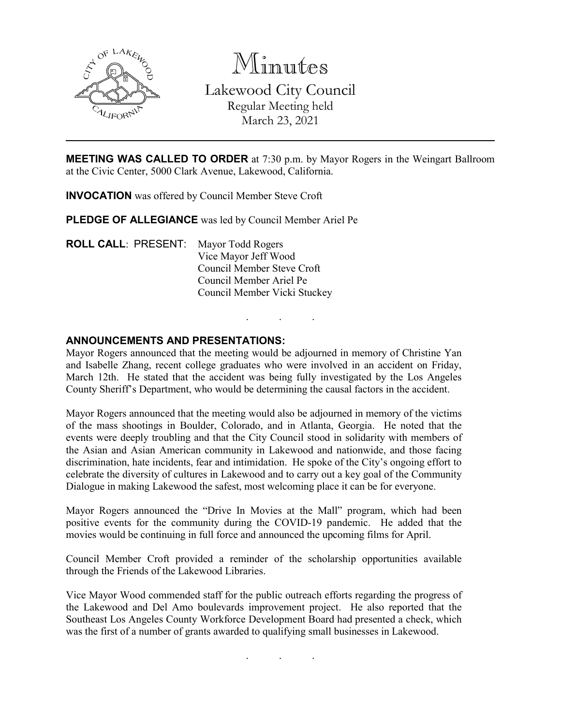

Minutes Lakewood City Council Regular Meeting held March 23, 2021

**MEETING WAS CALLED TO ORDER** at 7:30 p.m. by Mayor Rogers in the Weingart Ballroom at the Civic Center, 5000 Clark Avenue, Lakewood, California.

**INVOCATION** was offered by Council Member Steve Croft

**PLEDGE OF ALLEGIANCE** was led by Council Member Ariel Pe

**ROLL CALL**: PRESENT: Mayor Todd Rogers Vice Mayor Jeff Wood Council Member Steve Croft Council Member Ariel Pe Council Member Vicki Stuckey

## **ANNOUNCEMENTS AND PRESENTATIONS:**

Mayor Rogers announced that the meeting would be adjourned in memory of Christine Yan and Isabelle Zhang, recent college graduates who were involved in an accident on Friday, March 12th. He stated that the accident was being fully investigated by the Los Angeles County Sheriff's Department, who would be determining the causal factors in the accident.

. . .

Mayor Rogers announced that the meeting would also be adjourned in memory of the victims of the mass shootings in Boulder, Colorado, and in Atlanta, Georgia. He noted that the events were deeply troubling and that the City Council stood in solidarity with members of the Asian and Asian American community in Lakewood and nationwide, and those facing discrimination, hate incidents, fear and intimidation. He spoke of the City's ongoing effort to celebrate the diversity of cultures in Lakewood and to carry out a key goal of the Community Dialogue in making Lakewood the safest, most welcoming place it can be for everyone.

Mayor Rogers announced the "Drive In Movies at the Mall" program, which had been positive events for the community during the COVID-19 pandemic. He added that the movies would be continuing in full force and announced the upcoming films for April.

Council Member Croft provided a reminder of the scholarship opportunities available through the Friends of the Lakewood Libraries.

Vice Mayor Wood commended staff for the public outreach efforts regarding the progress of the Lakewood and Del Amo boulevards improvement project. He also reported that the Southeast Los Angeles County Workforce Development Board had presented a check, which was the first of a number of grants awarded to qualifying small businesses in Lakewood.

. . .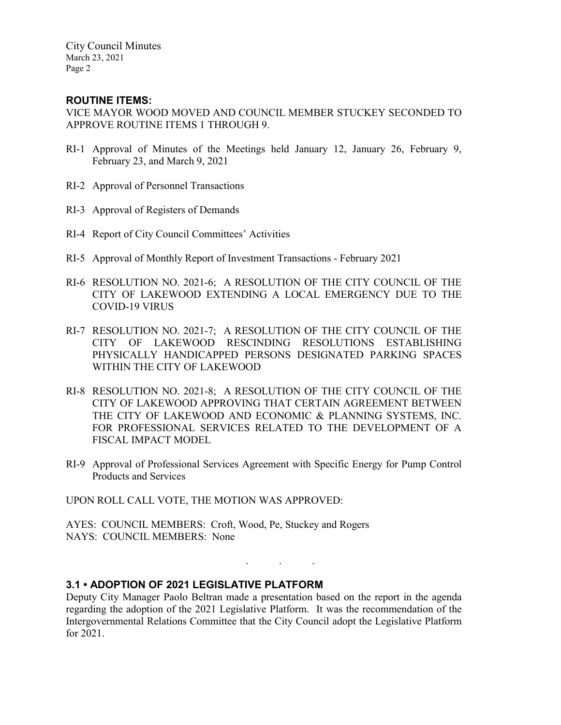City Council Minutes March 23, 2021 Page 2

# **ROUTINE ITEMS:**

VICE MAYOR WOOD MOVED AND COUNCIL MEMBER STUCKEY SECONDED TO APPROVE ROUTINE ITEMS 1 THROUGH 9.

- RI-1 Approval of Minutes of the Meetings held January 12, January 26, February 9, February 23, and March 9, 2021
- RI-2 Approval of Personnel Transactions
- RI-3 Approval of Registers of Demands
- RI-4 Report of City Council Committees' Activities
- RI-5 Approval of Monthly Report of Investment Transactions February 2021
- RI-6 RESOLUTION NO. 2021-6; A RESOLUTION OF THE CITY COUNCIL OF THE CITY OF LAKEWOOD EXTENDING A LOCAL EMERGENCY DUE TO THE COVID-19 VIRUS
- RI-7 RESOLUTION NO. 2021-7; A RESOLUTION OF THE CITY COUNCIL OF THE CITY OF LAKEWOOD RESCINDING RESOLUTIONS ESTABLISHING PHYSICALLY HANDICAPPED PERSONS DESIGNATED PARKING SPACES WITHIN THE CITY OF LAKEWOOD
- RI-8 RESOLUTION NO. 2021-8; A RESOLUTION OF THE CITY COUNCIL OF THE CITY OF LAKEWOOD APPROVING THAT CERTAIN AGREEMENT BETWEEN THE CITY OF LAKEWOOD AND ECONOMIC & PLANNING SYSTEMS, INC. FOR PROFESSIONAL SERVICES RELATED TO THE DEVELOPMENT OF A FISCAL IMPACT MODEL
- RI-9 Approval of Professional Services Agreement with Specific Energy for Pump Control Products and Services

UPON ROLL CALL VOTE, THE MOTION WAS APPROVED:

AYES: COUNCIL MEMBERS: Croft, Wood, Pe, Stuckey and Rogers NAYS: COUNCIL MEMBERS: None

# **3.1 • ADOPTION OF 2021 LEGISLATIVE PLATFORM**

Deputy City Manager Paolo Beltran made a presentation based on the report in the agenda regarding the adoption of the 2021 Legislative Platform. It was the recommendation of the Intergovernmental Relations Committee that the City Council adopt the Legislative Platform for 2021.

. . .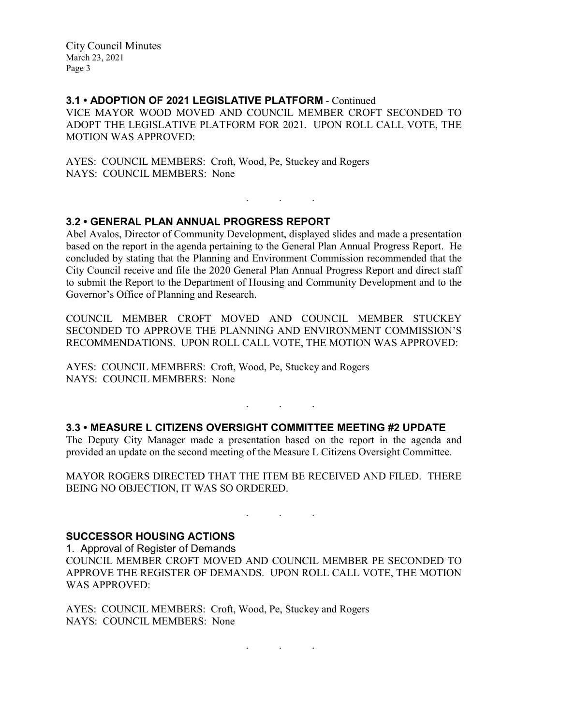City Council Minutes March 23, 2021 Page 3

# **3.1 • ADOPTION OF 2021 LEGISLATIVE PLATFORM** - Continued

VICE MAYOR WOOD MOVED AND COUNCIL MEMBER CROFT SECONDED TO ADOPT THE LEGISLATIVE PLATFORM FOR 2021. UPON ROLL CALL VOTE, THE MOTION WAS APPROVED:

AYES: COUNCIL MEMBERS: Croft, Wood, Pe, Stuckey and Rogers NAYS: COUNCIL MEMBERS: None

# **3.2 • GENERAL PLAN ANNUAL PROGRESS REPORT**

Abel Avalos, Director of Community Development, displayed slides and made a presentation based on the report in the agenda pertaining to the General Plan Annual Progress Report. He concluded by stating that the Planning and Environment Commission recommended that the City Council receive and file the 2020 General Plan Annual Progress Report and direct staff to submit the Report to the Department of Housing and Community Development and to the Governor's Office of Planning and Research.

. . .

COUNCIL MEMBER CROFT MOVED AND COUNCIL MEMBER STUCKEY SECONDED TO APPROVE THE PLANNING AND ENVIRONMENT COMMISSION'S RECOMMENDATIONS. UPON ROLL CALL VOTE, THE MOTION WAS APPROVED:

AYES: COUNCIL MEMBERS: Croft, Wood, Pe, Stuckey and Rogers NAYS: COUNCIL MEMBERS: None

# **3.3 • MEASURE L CITIZENS OVERSIGHT COMMITTEE MEETING #2 UPDATE**

The Deputy City Manager made a presentation based on the report in the agenda and provided an update on the second meeting of the Measure L Citizens Oversight Committee.

. . .

MAYOR ROGERS DIRECTED THAT THE ITEM BE RECEIVED AND FILED. THERE BEING NO OBJECTION, IT WAS SO ORDERED.

. As we have the set of  $\mathcal{A}$  , and  $\mathcal{A}$ 

. . .

#### **SUCCESSOR HOUSING ACTIONS**

1. Approval of Register of Demands COUNCIL MEMBER CROFT MOVED AND COUNCIL MEMBER PE SECONDED TO APPROVE THE REGISTER OF DEMANDS. UPON ROLL CALL VOTE, THE MOTION WAS APPROVED:

AYES: COUNCIL MEMBERS: Croft, Wood, Pe, Stuckey and Rogers NAYS: COUNCIL MEMBERS: None